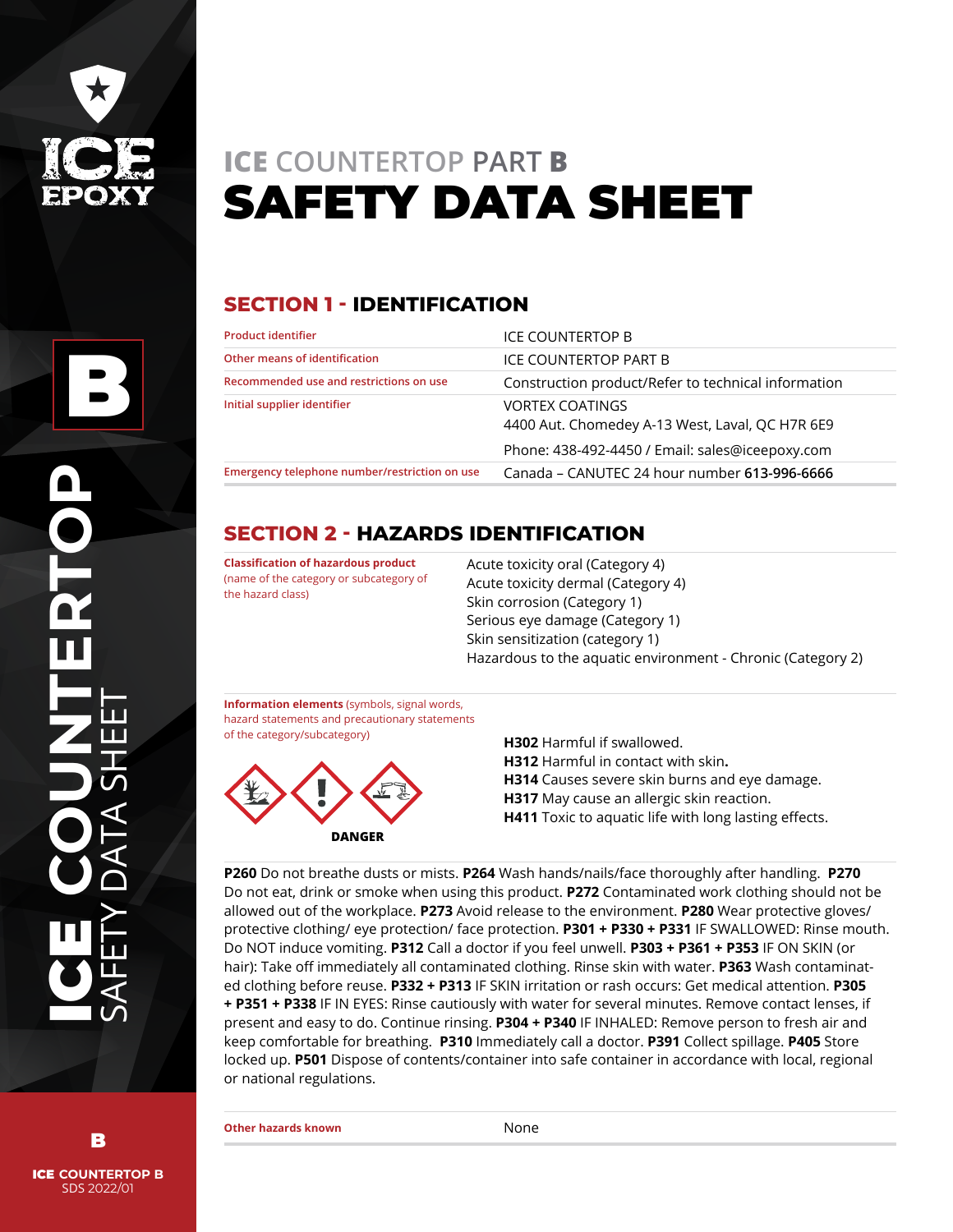

# **ICE COUNTERTOP PART B** SAFETY DATA SHEET

# **SECTION 1 - IDENTIFICATION**

| <b>Product identifier</b><br>Other means of identification<br>Recommended use and restrictions on use<br>Initial supplier identifier | ICE COUNTERTOP B                                                          |  |
|--------------------------------------------------------------------------------------------------------------------------------------|---------------------------------------------------------------------------|--|
|                                                                                                                                      | ICE COUNTERTOP PART B                                                     |  |
|                                                                                                                                      | Construction product/Refer to technical information                       |  |
|                                                                                                                                      | <b>VORTEX COATINGS</b><br>4400 Aut. Chomedey A-13 West, Laval, QC H7R 6E9 |  |
|                                                                                                                                      | Phone: 438-492-4450 / Email: sales@iceepoxy.com                           |  |
| Emergency telephone number/restriction on use                                                                                        | Canada - CANUTEC 24 hour number 613-996-6666                              |  |

# **SECTION 2 - HAZARDS IDENTIFICATION**

**Classification of hazardous product**  (name of the category or subcategory of the hazard class)

Acute toxicity oral (Category 4) Acute toxicity dermal (Category 4) Skin corrosion (Category 1) Serious eye damage (Category 1) Skin sensitization (category 1) Hazardous to the aquatic environment - Chronic (Category 2)

**Information elements** (symbols, signal words, hazard statements and precautionary statements of the category/subcategory)



**H302** Harmful if swallowed. **H312** Harmful in contact with skin**. H314** Causes severe skin burns and eye damage. **H317** May cause an allergic skin reaction. **H411** Toxic to aquatic life with long lasting effects.

**P260** Do not breathe dusts or mists. **P264** Wash hands/nails/face thoroughly after handling. **P270**  Do not eat, drink or smoke when using this product. **P272** Contaminated work clothing should not be allowed out of the workplace. **P273** Avoid release to the environment. **P280** Wear protective gloves/ protective clothing/ eye protection/ face protection. **P301 + P330 + P331** IF SWALLOWED: Rinse mouth. Do NOT induce vomiting. **P312** Call a doctor if you feel unwell. **P303 + P361 + P353** IF ON SKIN (or hair): Take off immediately all contaminated clothing. Rinse skin with water. **P363** Wash contaminated clothing before reuse. **P332 + P313** IF SKIN irritation or rash occurs: Get medical attention. **P305 + P351 + P338** IF IN EYES: Rinse cautiously with water for several minutes. Remove contact lenses, if present and easy to do. Continue rinsing. **P304 + P340** IF INHALED: Remove person to fresh air and keep comfortable for breathing. **P310** Immediately call a doctor. **P391** Collect spillage. **P405** Store locked up. **P501** Dispose of contents/container into safe container in accordance with local, regional or national regulations.

ICE **COUNTERTOP B** B

SDS 2022/01

ICE **COUNTERTOP**

SAFETY DATA SHEET

**Other hazards known** None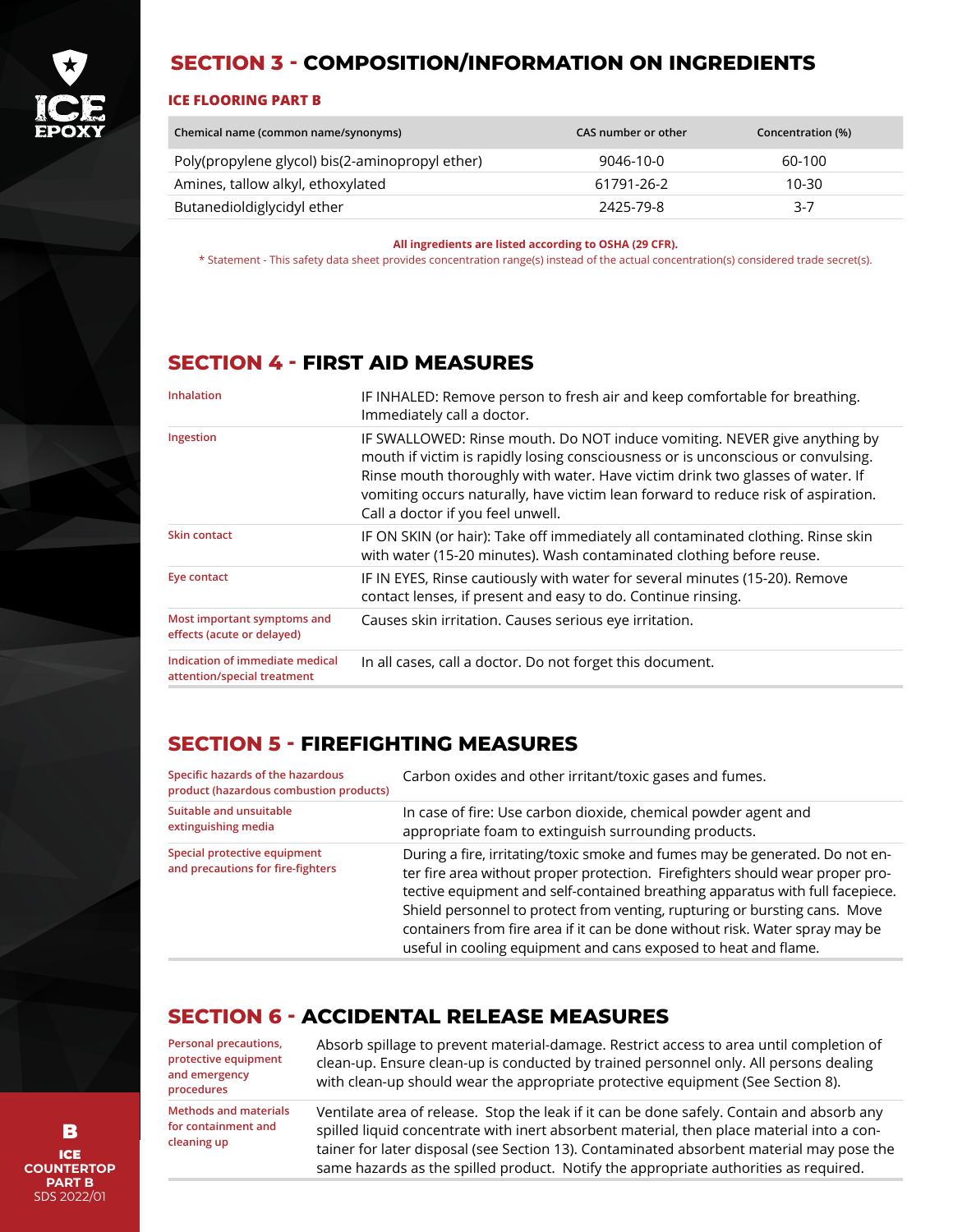

#### **SECTION 3 - COMPOSITION/INFORMATION ON INGREDIENTS**

#### **ICE FLOORING PART B**

| Chemical name (common name/synonyms)            | CAS number or other | Concentration (%) |
|-------------------------------------------------|---------------------|-------------------|
| Poly(propylene glycol) bis(2-aminopropyl ether) | 9046-10-0           | 60-100            |
| Amines, tallow alkyl, ethoxylated               | 61791-26-2          | 10-30             |
| Butanedioldiglycidyl ether                      | 2425-79-8           | $3-7$             |

**All ingredients are listed according to OSHA (29 CFR).**

\* Statement - This safety data sheet provides concentration range(s) instead of the actual concentration(s) considered trade secret(s).

#### **SECTION 4 - FIRST AID MEASURES**

| <b>Inhalation</b>                                              | IF INHALED: Remove person to fresh air and keep comfortable for breathing.<br>Immediately call a doctor.                                                                                                                                                                                                                                                                 |
|----------------------------------------------------------------|--------------------------------------------------------------------------------------------------------------------------------------------------------------------------------------------------------------------------------------------------------------------------------------------------------------------------------------------------------------------------|
| Ingestion                                                      | IF SWALLOWED: Rinse mouth. Do NOT induce vomiting. NEVER give anything by<br>mouth if victim is rapidly losing consciousness or is unconscious or convulsing.<br>Rinse mouth thoroughly with water. Have victim drink two glasses of water. If<br>vomiting occurs naturally, have victim lean forward to reduce risk of aspiration.<br>Call a doctor if you feel unwell. |
| Skin contact                                                   | IF ON SKIN (or hair): Take off immediately all contaminated clothing. Rinse skin<br>with water (15-20 minutes). Wash contaminated clothing before reuse.                                                                                                                                                                                                                 |
| Eye contact                                                    | IF IN EYES, Rinse cautiously with water for several minutes (15-20). Remove<br>contact lenses, if present and easy to do. Continue rinsing.                                                                                                                                                                                                                              |
| Most important symptoms and<br>effects (acute or delayed)      | Causes skin irritation. Causes serious eye irritation.                                                                                                                                                                                                                                                                                                                   |
| Indication of immediate medical<br>attention/special treatment | In all cases, call a doctor. Do not forget this document.                                                                                                                                                                                                                                                                                                                |

#### **SECTION 5 - FIREFIGHTING MEASURES**

| Specific hazards of the hazardous<br>product (hazardous combustion products) | Carbon oxides and other irritant/toxic gases and fumes.                                                                                                                                                                                                                                                                                                                                                                                                                         |
|------------------------------------------------------------------------------|---------------------------------------------------------------------------------------------------------------------------------------------------------------------------------------------------------------------------------------------------------------------------------------------------------------------------------------------------------------------------------------------------------------------------------------------------------------------------------|
| Suitable and unsuitable<br>extinguishing media                               | In case of fire: Use carbon dioxide, chemical powder agent and<br>appropriate foam to extinguish surrounding products.                                                                                                                                                                                                                                                                                                                                                          |
| Special protective equipment<br>and precautions for fire-fighters            | During a fire, irritating/toxic smoke and fumes may be generated. Do not en-<br>ter fire area without proper protection. Firefighters should wear proper pro-<br>tective equipment and self-contained breathing apparatus with full facepiece.<br>Shield personnel to protect from venting, rupturing or bursting cans. Move<br>containers from fire area if it can be done without risk. Water spray may be<br>useful in cooling equipment and cans exposed to heat and flame. |

#### **SECTION 6 - ACCIDENTAL RELEASE MEASURES**

**Personal precautions, protective equipment and emergency procedures** 

**Methods and materials for containment and cleaning up**

Absorb spillage to prevent material-damage. Restrict access to area until completion of clean-up. Ensure clean-up is conducted by trained personnel only. All persons dealing with clean-up should wear the appropriate protective equipment (See Section 8).

Ventilate area of release. Stop the leak if it can be done safely. Contain and absorb any spilled liquid concentrate with inert absorbent material, then place material into a container for later disposal (see Section 13). Contaminated absorbent material may pose the same hazards as the spilled product. Notify the appropriate authorities as required.

ICE **COUNTERTOP PART B** SDS 2022/01 B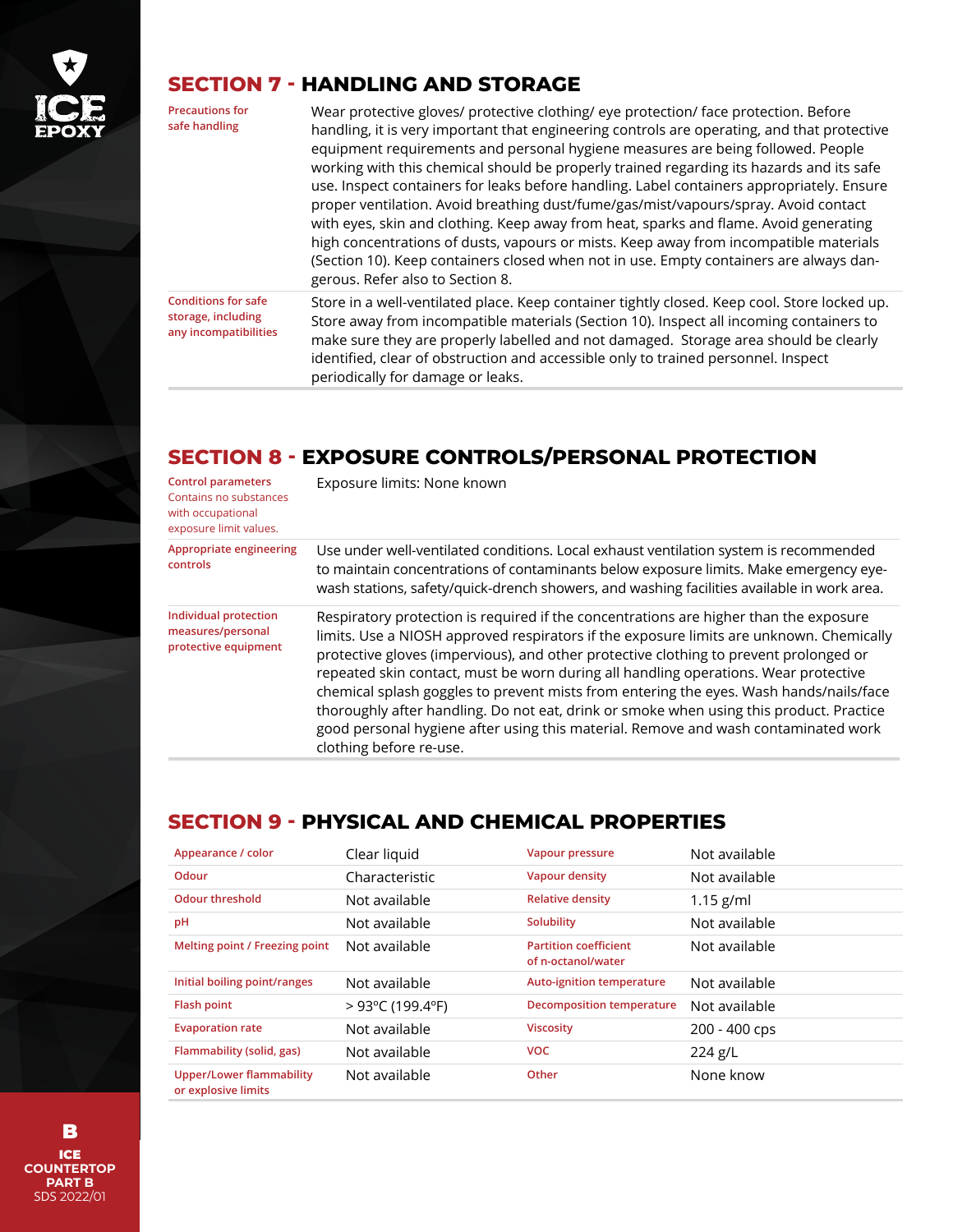

# **SECTION 7 - HANDLING AND STORAGE**

**Precautions for safe handling**

Wear protective gloves/ protective clothing/ eye protection/ face protection. Before handling, it is very important that engineering controls are operating, and that protective equipment requirements and personal hygiene measures are being followed. People working with this chemical should be properly trained regarding its hazards and its safe use. Inspect containers for leaks before handling. Label containers appropriately. Ensure proper ventilation. Avoid breathing dust/fume/gas/mist/vapours/spray. Avoid contact with eyes, skin and clothing. Keep away from heat, sparks and flame. Avoid generating high concentrations of dusts, vapours or mists. Keep away from incompatible materials (Section 10). Keep containers closed when not in use. Empty containers are always dangerous. Refer also to Section 8.

**Conditions for safe storage, including any incompatibilities** Store in a well-ventilated place. Keep container tightly closed. Keep cool. Store locked up. Store away from incompatible materials (Section 10). Inspect all incoming containers to make sure they are properly labelled and not damaged. Storage area should be clearly identified, clear of obstruction and accessible only to trained personnel. Inspect periodically for damage or leaks.

# **SECTION 8 - EXPOSURE CONTROLS/PERSONAL PROTECTION**

| <b>Control parameters</b><br>Contains no substances<br>with occupational<br>exposure limit values. | Exposure limits: None known                                                                                                                                                                                                                                                                                                                                                                                                                                                                                                                                                                                                                                            |
|----------------------------------------------------------------------------------------------------|------------------------------------------------------------------------------------------------------------------------------------------------------------------------------------------------------------------------------------------------------------------------------------------------------------------------------------------------------------------------------------------------------------------------------------------------------------------------------------------------------------------------------------------------------------------------------------------------------------------------------------------------------------------------|
| Appropriate engineering<br>controls                                                                | Use under well-ventilated conditions. Local exhaust ventilation system is recommended<br>to maintain concentrations of contaminants below exposure limits. Make emergency eye-<br>wash stations, safety/quick-drench showers, and washing facilities available in work area.                                                                                                                                                                                                                                                                                                                                                                                           |
| Individual protection<br>measures/personal<br>protective equipment                                 | Respiratory protection is required if the concentrations are higher than the exposure<br>limits. Use a NIOSH approved respirators if the exposure limits are unknown. Chemically<br>protective gloves (impervious), and other protective clothing to prevent prolonged or<br>repeated skin contact, must be worn during all handling operations. Wear protective<br>chemical splash goggles to prevent mists from entering the eyes. Wash hands/nails/face<br>thoroughly after handling. Do not eat, drink or smoke when using this product. Practice<br>good personal hygiene after using this material. Remove and wash contaminated work<br>clothing before re-use. |

## **SECTION 9 - PHYSICAL AND CHEMICAL PROPERTIES**

| Appearance / color                                     | Clear liquid                         | Vapour pressure                                    | Not available |
|--------------------------------------------------------|--------------------------------------|----------------------------------------------------|---------------|
| Odour                                                  | Characteristic                       | Vapour density                                     | Not available |
| <b>Odour threshold</b>                                 | Not available                        | <b>Relative density</b>                            | $1.15$ g/ml   |
| pH                                                     | Not available                        | Solubility                                         | Not available |
| Melting point / Freezing point                         | Not available                        | <b>Partition coefficient</b><br>of n-octanol/water | Not available |
| Initial boiling point/ranges                           | Not available                        | Auto-ignition temperature                          | Not available |
| <b>Flash point</b>                                     | $>93^{\circ}$ C (199.4 $^{\circ}$ F) | <b>Decomposition temperature</b>                   | Not available |
| <b>Evaporation rate</b>                                | Not available                        | <b>Viscosity</b>                                   | 200 - 400 cps |
| Flammability (solid, gas)                              | Not available                        | <b>VOC</b>                                         | $224$ g/L     |
| <b>Upper/Lower flammability</b><br>or explosive limits | Not available                        | Other                                              | None know     |

ICE **COUNTERTOP PART B** SDS 2022/01 B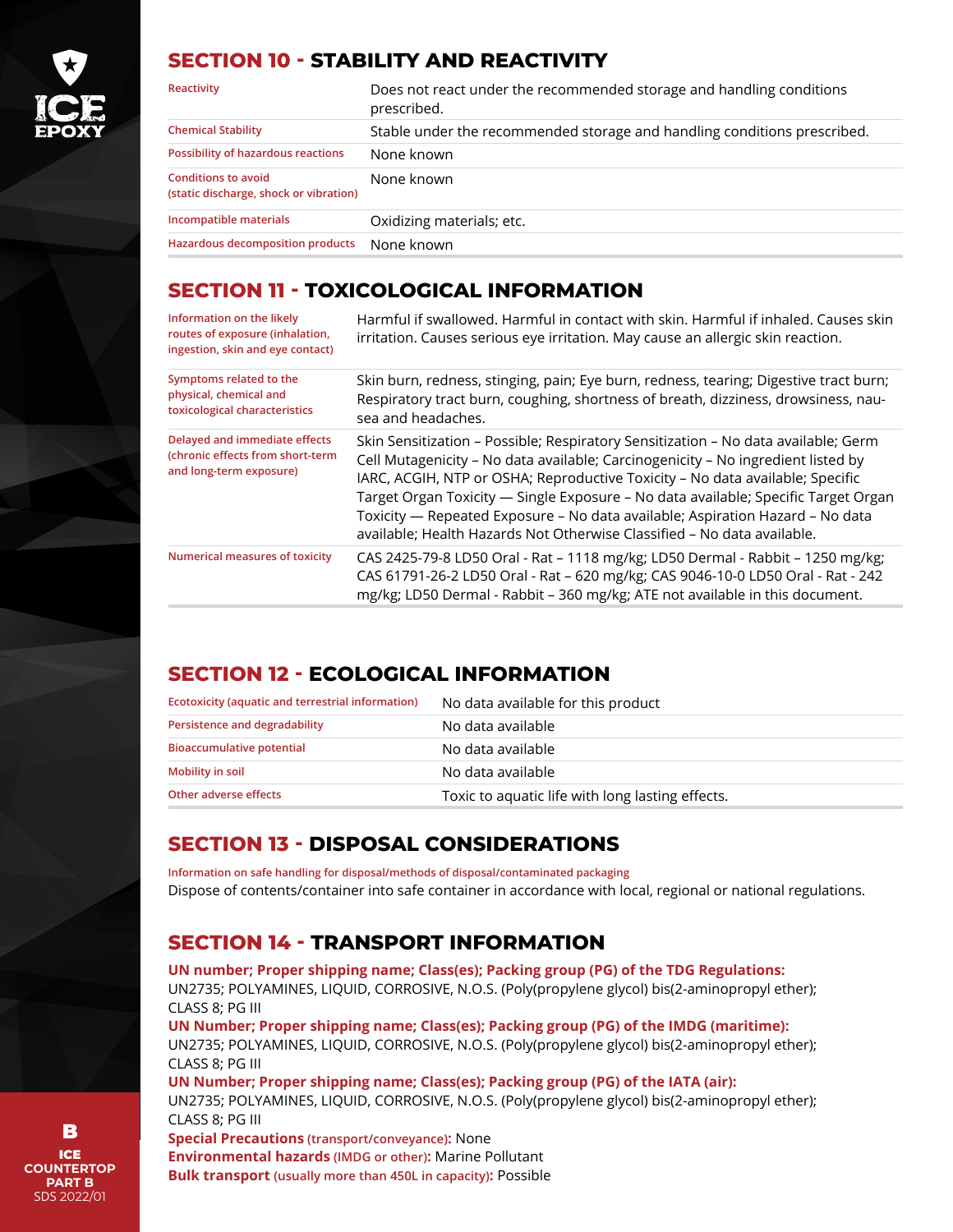

#### **SECTION 10 - STABILITY AND REACTIVITY**

| Reactivity                                                           | Does not react under the recommended storage and handling conditions<br>prescribed. |
|----------------------------------------------------------------------|-------------------------------------------------------------------------------------|
| <b>Chemical Stability</b>                                            | Stable under the recommended storage and handling conditions prescribed.            |
| Possibility of hazardous reactions                                   | None known                                                                          |
| <b>Conditions to avoid</b><br>(static discharge, shock or vibration) | None known                                                                          |
| Incompatible materials                                               | Oxidizing materials; etc.                                                           |
| Hazardous decomposition products                                     | None known                                                                          |

#### **SECTION 11 - TOXICOLOGICAL INFORMATION**

| Information on the likely<br>routes of exposure (inhalation,<br>ingestion, skin and eye contact) | Harmful if swallowed. Harmful in contact with skin. Harmful if inhaled. Causes skin<br>irritation. Causes serious eye irritation. May cause an allergic skin reaction.                                                                                                                                                                                                                                                                                                                                    |
|--------------------------------------------------------------------------------------------------|-----------------------------------------------------------------------------------------------------------------------------------------------------------------------------------------------------------------------------------------------------------------------------------------------------------------------------------------------------------------------------------------------------------------------------------------------------------------------------------------------------------|
| Symptoms related to the<br>physical, chemical and<br>toxicological characteristics               | Skin burn, redness, stinging, pain; Eye burn, redness, tearing; Digestive tract burn;<br>Respiratory tract burn, coughing, shortness of breath, dizziness, drowsiness, nau-<br>sea and headaches.                                                                                                                                                                                                                                                                                                         |
| Delayed and immediate effects<br>(chronic effects from short-term<br>and long-term exposure)     | Skin Sensitization - Possible; Respiratory Sensitization - No data available; Germ<br>Cell Mutagenicity - No data available; Carcinogenicity - No ingredient listed by<br>IARC, ACGIH, NTP or OSHA; Reproductive Toxicity - No data available; Specific<br>Target Organ Toxicity — Single Exposure - No data available; Specific Target Organ<br>Toxicity — Repeated Exposure – No data available; Aspiration Hazard – No data<br>available; Health Hazards Not Otherwise Classified - No data available. |
| Numerical measures of toxicity                                                                   | CAS 2425-79-8 LD50 Oral - Rat - 1118 mg/kg; LD50 Dermal - Rabbit - 1250 mg/kg;<br>CAS 61791-26-2 LD50 Oral - Rat - 620 mg/kg; CAS 9046-10-0 LD50 Oral - Rat - 242<br>mg/kg; LD50 Dermal - Rabbit - 360 mg/kg; ATE not available in this document.                                                                                                                                                                                                                                                         |

## **SECTION 12 - ECOLOGICAL INFORMATION**

| Ecotoxicity (aquatic and terrestrial information) | No data available for this product               |
|---------------------------------------------------|--------------------------------------------------|
| Persistence and degradability                     | No data available                                |
| <b>Bioaccumulative potential</b>                  | No data available                                |
| <b>Mobility in soil</b>                           | No data available                                |
| Other adverse effects                             | Toxic to aquatic life with long lasting effects. |

## **SECTION 13 - DISPOSAL CONSIDERATIONS**

**Information on safe handling for disposal/methods of disposal/contaminated packaging**  Dispose of contents/container into safe container in accordance with local, regional or national regulations.

# **SECTION 14 - TRANSPORT INFORMATION**

**UN number; Proper shipping name; Class(es); Packing group (PG) of the TDG Regulations:** UN2735; POLYAMINES, LIQUID, CORROSIVE, N.O.S. (Poly(propylene glycol) bis(2-aminopropyl ether); CLASS 8; PG III

**UN Number; Proper shipping name; Class(es); Packing group (PG) of the IMDG (maritime):** UN2735; POLYAMINES, LIQUID, CORROSIVE, N.O.S. (Poly(propylene glycol) bis(2-aminopropyl ether); CLASS 8; PG III

**UN Number; Proper shipping name; Class(es); Packing group (PG) of the IATA (air):**

UN2735; POLYAMINES, LIQUID, CORROSIVE, N.O.S. (Poly(propylene glycol) bis(2-aminopropyl ether); CLASS 8; PG III

**Special Precautions (transport/conveyance):** None **Environmental hazards (IMDG or other):** Marine Pollutant **Bulk transport (usually more than 450L in capacity):** Possible

ICE **COUNTERTOP PART B** SDS 2022/01 B